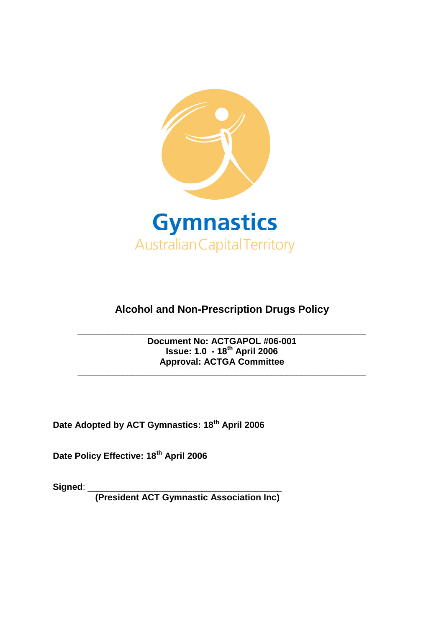

# **Alcohol and Non-Prescription Drugs Policy**

### **\_\_\_\_\_\_\_\_\_\_\_\_\_\_\_\_\_\_\_\_\_\_\_\_\_\_\_\_\_\_\_\_\_\_\_\_\_\_\_\_\_\_\_\_\_\_\_\_\_\_\_\_\_\_\_\_\_\_ Document No: ACTGAPOL #06-001 Issue: 1.0 - 18th April 2006 Approval: ACTGA Committee**

**\_\_\_\_\_\_\_\_\_\_\_\_\_\_\_\_\_\_\_\_\_\_\_\_\_\_\_\_\_\_\_\_\_\_\_\_\_\_\_\_\_\_\_\_\_\_\_\_\_\_\_\_\_\_\_\_\_\_**

**Date Adopted by ACT Gymnastics: 18th April 2006**

**Date Policy Effective: 18th April 2006**

**Signed**: \_\_\_\_\_\_\_\_\_\_\_\_\_\_\_\_\_\_\_\_\_\_\_\_\_\_\_\_\_\_\_\_\_\_\_\_\_\_\_

**(President ACT Gymnastic Association Inc)**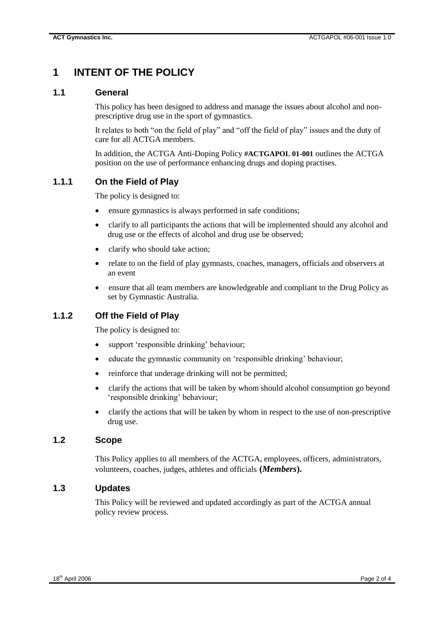## **1 INTENT OF THE POLICY**

#### **1.1 General**

This policy has been designed to address and manage the issues about alcohol and nonprescriptive drug use in the sport of gymnastics.

It relates to both "on the field of play" and "off the field of play" issues and the duty of care for all ACTGA members.

In addition, the ACTGA Anti-Doping Policy **#ACTGAPOL 01-001** outlines the ACTGA position on the use of performance enhancing drugs and doping practises.

### **1.1.1 On the Field of Play**

The policy is designed to:

- ensure gymnastics is always performed in safe conditions;
- clarify to all participants the actions that will be implemented should any alcohol and drug use or the effects of alcohol and drug use be observed;
- clarify who should take action;
- relate to on the field of play gymnasts, coaches, managers, officials and observers at an event
- ensure that all team members are knowledgeable and compliant to the Drug Policy as set by Gymnastic Australia.

### **1.1.2 Off the Field of Play**

The policy is designed to:

- support 'responsible drinking' behaviour;
- educate the gymnastic community on 'responsible drinking' behaviour;
- reinforce that underage drinking will not be permitted;
- clarify the actions that will be taken by whom should alcohol consumption go beyond 'responsible drinking' behaviour;
- clarify the actions that will be taken by whom in respect to the use of non-prescriptive drug use.

#### **1.2 Scope**

This Policy applies to all members of the ACTGA, employees, officers, administrators, volunteers, coaches, judges, athletes and officials **(***Members***).**

#### **1.3 Updates**

This Policy will be reviewed and updated accordingly as part of the ACTGA annual policy review process.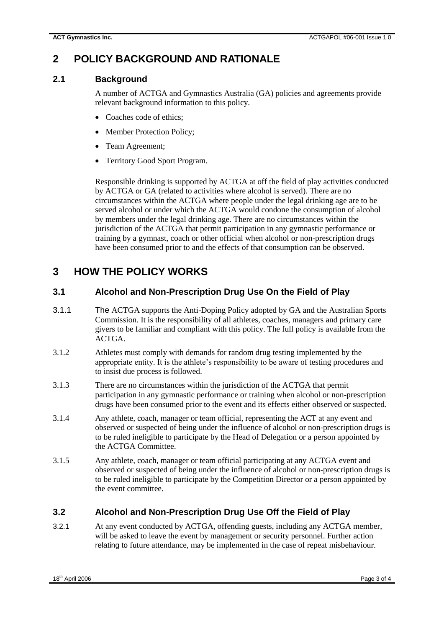## **2 POLICY BACKGROUND AND RATIONALE**

### **2.1 Background**

A number of ACTGA and Gymnastics Australia (GA) policies and agreements provide relevant background information to this policy.

- Coaches code of ethics;
- Member Protection Policy:
- Team Agreement;
- Territory Good Sport Program.

Responsible drinking is supported by ACTGA at off the field of play activities conducted by ACTGA or GA (related to activities where alcohol is served). There are no circumstances within the ACTGA where people under the legal drinking age are to be served alcohol or under which the ACTGA would condone the consumption of alcohol by members under the legal drinking age. There are no circumstances within the jurisdiction of the ACTGA that permit participation in any gymnastic performance or training by a gymnast, coach or other official when alcohol or non-prescription drugs have been consumed prior to and the effects of that consumption can be observed.

## **3 HOW THE POLICY WORKS**

### **3.1 Alcohol and Non-Prescription Drug Use On the Field of Play**

- 3.1.1 The ACTGA supports the Anti-Doping Policy adopted by GA and the Australian Sports Commission. It is the responsibility of all athletes, coaches, managers and primary care givers to be familiar and compliant with this policy. The full policy is available from the ACTGA.
- 3.1.2 Athletes must comply with demands for random drug testing implemented by the appropriate entity. It is the athlete's responsibility to be aware of testing procedures and to insist due process is followed.
- 3.1.3 There are no circumstances within the jurisdiction of the ACTGA that permit participation in any gymnastic performance or training when alcohol or non-prescription drugs have been consumed prior to the event and its effects either observed or suspected.
- 3.1.4 Any athlete, coach, manager or team official, representing the ACT at any event and observed or suspected of being under the influence of alcohol or non-prescription drugs is to be ruled ineligible to participate by the Head of Delegation or a person appointed by the ACTGA Committee.
- 3.1.5 Any athlete, coach, manager or team official participating at any ACTGA event and observed or suspected of being under the influence of alcohol or non-prescription drugs is to be ruled ineligible to participate by the Competition Director or a person appointed by the event committee.

## **3.2 Alcohol and Non-Prescription Drug Use Off the Field of Play**

3.2.1 At any event conducted by ACTGA, offending guests, including any ACTGA member, will be asked to leave the event by management or security personnel. Further action relating to future attendance, may be implemented in the case of repeat misbehaviour.